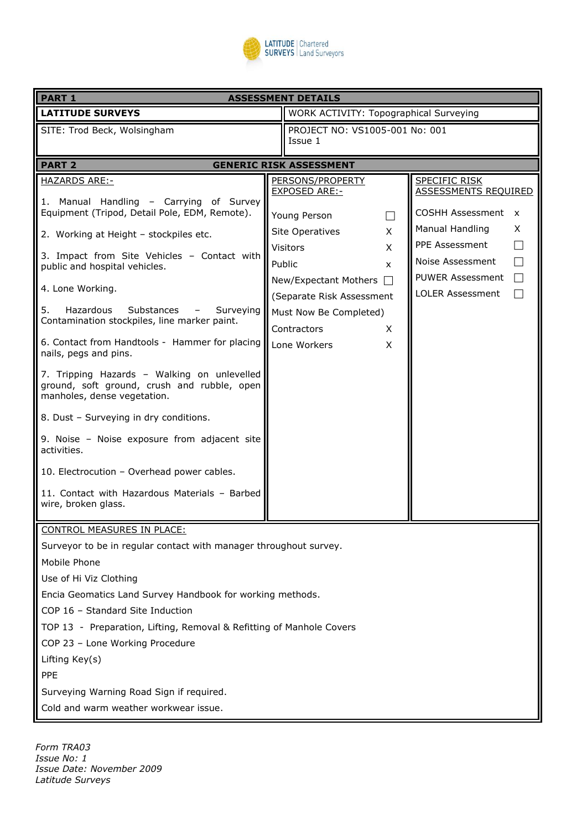

| <b>PART 1</b><br><b>ASSESSMENT DETAILS</b>                                                                                                                                                                                                                                                                                                                                                                                                                                                                                                                           |  |                                                                                                                                                                                                                                |                                  |                                                                                                                                                                                                  |  |  |  |
|----------------------------------------------------------------------------------------------------------------------------------------------------------------------------------------------------------------------------------------------------------------------------------------------------------------------------------------------------------------------------------------------------------------------------------------------------------------------------------------------------------------------------------------------------------------------|--|--------------------------------------------------------------------------------------------------------------------------------------------------------------------------------------------------------------------------------|----------------------------------|--------------------------------------------------------------------------------------------------------------------------------------------------------------------------------------------------|--|--|--|
| <b>LATITUDE SURVEYS</b>                                                                                                                                                                                                                                                                                                                                                                                                                                                                                                                                              |  | WORK ACTIVITY: Topographical Surveying                                                                                                                                                                                         |                                  |                                                                                                                                                                                                  |  |  |  |
| SITE: Trod Beck, Wolsingham                                                                                                                                                                                                                                                                                                                                                                                                                                                                                                                                          |  | PROJECT NO: VS1005-001 No: 001<br>Issue 1                                                                                                                                                                                      |                                  |                                                                                                                                                                                                  |  |  |  |
| <b>PART 2</b><br><b>GENERIC RISK ASSESSMENT</b>                                                                                                                                                                                                                                                                                                                                                                                                                                                                                                                      |  |                                                                                                                                                                                                                                |                                  |                                                                                                                                                                                                  |  |  |  |
| <b>HAZARDS ARE:-</b><br>1. Manual Handling - Carrying of Survey<br>Equipment (Tripod, Detail Pole, EDM, Remote).<br>2. Working at Height - stockpiles etc.<br>3. Impact from Site Vehicles - Contact with<br>public and hospital vehicles.<br>4. Lone Working.<br>5.<br>Hazardous<br>Substances<br>Surveying<br>Contamination stockpiles, line marker paint.<br>6. Contact from Handtools - Hammer for placing<br>nails, pegs and pins.<br>7. Tripping Hazards - Walking on unlevelled<br>ground, soft ground, crush and rubble, open<br>manholes, dense vegetation. |  | PERSONS/PROPERTY<br><b>EXPOSED ARE:-</b><br>Young Person<br><b>Site Operatives</b><br><b>Visitors</b><br>Public<br>New/Expectant Mothers<br>(Separate Risk Assessment<br>Must Now Be Completed)<br>Contractors<br>Lone Workers | X<br>X<br>x<br>$\perp$<br>Χ<br>X | <b>SPECIFIC RISK</b><br>ASSESSMENTS REQUIRED<br>COSHH Assessment x<br>Manual Handling<br>X<br>PPE Assessment<br>Noise Assessment<br><b>PUWER Assessment</b><br>$\Box$<br><b>LOLER Assessment</b> |  |  |  |
| 8. Dust - Surveying in dry conditions.<br>9. Noise - Noise exposure from adjacent site<br>activities.<br>10. Electrocution - Overhead power cables.<br>11. Contact with Hazardous Materials - Barbed<br>wire, broken glass.                                                                                                                                                                                                                                                                                                                                          |  |                                                                                                                                                                                                                                |                                  |                                                                                                                                                                                                  |  |  |  |
| CONTROL MEASURES IN PLACE:<br>Surveyor to be in regular contact with manager throughout survey.<br>Mobile Phone<br>Use of Hi Viz Clothing<br>Encia Geomatics Land Survey Handbook for working methods.<br>COP 16 - Standard Site Induction<br>TOP 13 - Preparation, Lifting, Removal & Refitting of Manhole Covers<br>COP 23 - Lone Working Procedure<br>Lifting Key(s)<br>PPE<br>Surveying Warning Road Sign if required.<br>Cold and warm weather workwear issue.                                                                                                  |  |                                                                                                                                                                                                                                |                                  |                                                                                                                                                                                                  |  |  |  |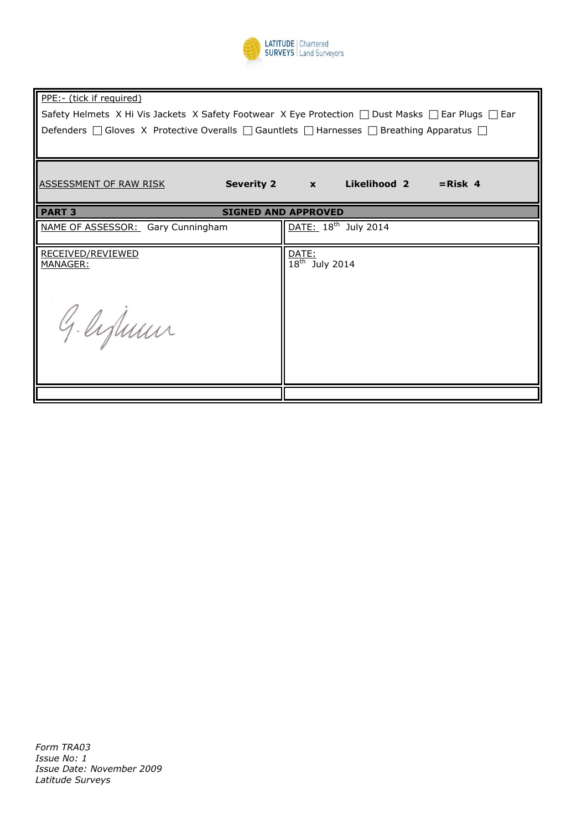

| PPE:- (tick if required)                                                                                          |                                    |  |  |  |  |  |  |
|-------------------------------------------------------------------------------------------------------------------|------------------------------------|--|--|--|--|--|--|
| Safety Helmets X Hi Vis Jackets X Safety Footwear X Eye Protection $\Box$ Dust Masks $\Box$ Ear Plugs $\Box$ Ear  |                                    |  |  |  |  |  |  |
| Defenders $\Box$ Gloves X Protective Overalls $\Box$ Gauntlets $\Box$ Harnesses $\Box$ Breathing Apparatus $\Box$ |                                    |  |  |  |  |  |  |
|                                                                                                                   |                                    |  |  |  |  |  |  |
| ASSESSMENT OF RAW RISK                                                                                            | Severity 2 x Likelihood 2 = Risk 4 |  |  |  |  |  |  |
| <b>PART 3</b><br><b>SIGNED AND APPROVED</b>                                                                       |                                    |  |  |  |  |  |  |
| NAME OF ASSESSOR: Gary Cunningham                                                                                 | DATE: 18 <sup>th</sup> July 2014   |  |  |  |  |  |  |
| RECEIVED/REVIEWED<br><u> MANAGER:</u>                                                                             | DATE:<br>$18th$ July 2014          |  |  |  |  |  |  |
|                                                                                                                   |                                    |  |  |  |  |  |  |
|                                                                                                                   |                                    |  |  |  |  |  |  |
| G. lifuun                                                                                                         |                                    |  |  |  |  |  |  |
|                                                                                                                   |                                    |  |  |  |  |  |  |

*Form TRA03 Issue No: 1 Issue Date: November 2009 Latitude Surveys*